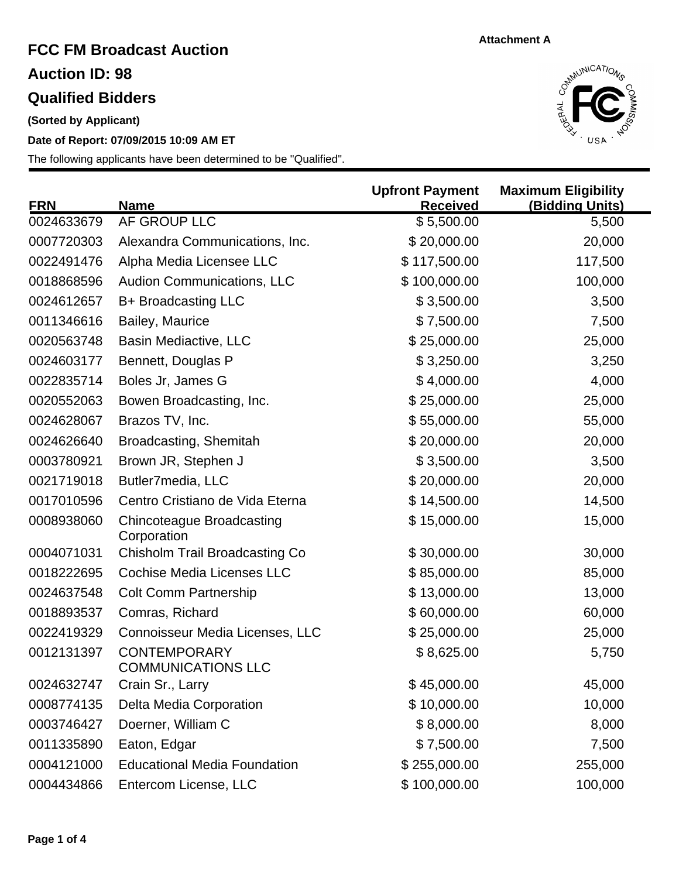## **FCC FM Broadcast Auction Qualified Bidders Auction ID: 98**

**(Sorted by Applicant)**

**Date of Report: 07/09/2015 10:09 AM ET**



| <b>FRN</b> | <b>Name</b>                                      | <b>Upfront Payment</b><br><b>Received</b> | <b>Maximum Eligibility</b><br>(Bidding Units) |
|------------|--------------------------------------------------|-------------------------------------------|-----------------------------------------------|
| 0024633679 | AF GROUP LLC                                     | \$5,500.00                                | 5,500                                         |
| 0007720303 | Alexandra Communications, Inc.                   | \$20,000.00                               | 20,000                                        |
| 0022491476 | Alpha Media Licensee LLC                         | \$117,500.00                              | 117,500                                       |
| 0018868596 | <b>Audion Communications, LLC</b>                | \$100,000.00                              | 100,000                                       |
| 0024612657 | B+ Broadcasting LLC                              | \$3,500.00                                | 3,500                                         |
| 0011346616 | Bailey, Maurice                                  | \$7,500.00                                | 7,500                                         |
| 0020563748 | <b>Basin Mediactive, LLC</b>                     | \$25,000.00                               | 25,000                                        |
| 0024603177 | Bennett, Douglas P                               | \$3,250.00                                | 3,250                                         |
| 0022835714 | Boles Jr, James G                                | \$4,000.00                                | 4,000                                         |
| 0020552063 | Bowen Broadcasting, Inc.                         | \$25,000.00                               | 25,000                                        |
| 0024628067 | Brazos TV, Inc.                                  | \$55,000.00                               | 55,000                                        |
| 0024626640 | Broadcasting, Shemitah                           | \$20,000.00                               | 20,000                                        |
| 0003780921 | Brown JR, Stephen J                              | \$3,500.00                                | 3,500                                         |
| 0021719018 | Butler7media, LLC                                | \$20,000.00                               | 20,000                                        |
| 0017010596 | Centro Cristiano de Vida Eterna                  | \$14,500.00                               | 14,500                                        |
| 0008938060 | Chincoteague Broadcasting<br>Corporation         | \$15,000.00                               | 15,000                                        |
| 0004071031 | Chisholm Trail Broadcasting Co                   | \$30,000.00                               | 30,000                                        |
| 0018222695 | <b>Cochise Media Licenses LLC</b>                | \$85,000.00                               | 85,000                                        |
| 0024637548 | <b>Colt Comm Partnership</b>                     | \$13,000.00                               | 13,000                                        |
| 0018893537 | Comras, Richard                                  | \$60,000.00                               | 60,000                                        |
| 0022419329 | Connoisseur Media Licenses, LLC                  | \$25,000.00                               | 25,000                                        |
| 0012131397 | <b>CONTEMPORARY</b><br><b>COMMUNICATIONS LLC</b> | \$8,625.00                                | 5,750                                         |
| 0024632747 | Crain Sr., Larry                                 | \$45,000.00                               | 45,000                                        |
| 0008774135 | Delta Media Corporation                          | \$10,000.00                               | 10,000                                        |
| 0003746427 | Doerner, William C                               | \$8,000.00                                | 8,000                                         |
| 0011335890 | Eaton, Edgar                                     | \$7,500.00                                | 7,500                                         |
| 0004121000 | <b>Educational Media Foundation</b>              | \$255,000.00                              | 255,000                                       |
| 0004434866 | Entercom License, LLC                            | \$100,000.00                              | 100,000                                       |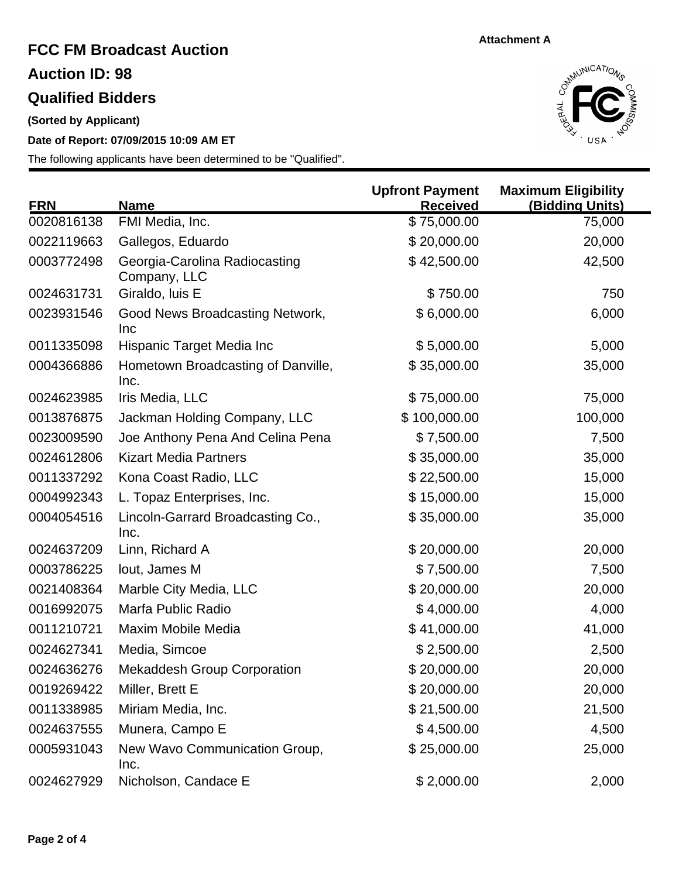## **FCC FM Broadcast Auction Qualified Bidders Auction ID: 98**

**(Sorted by Applicant)**

**Date of Report: 07/09/2015 10:09 AM ET**



| <b>FRN</b> | <b>Name</b>                                   | <b>Upfront Payment</b><br><b>Received</b> | <b>Maximum Eligibility</b><br>(Bidding Units) |
|------------|-----------------------------------------------|-------------------------------------------|-----------------------------------------------|
| 0020816138 | FMI Media, Inc.                               | $\sqrt{$75,000.00}$                       | 75,000                                        |
| 0022119663 | Gallegos, Eduardo                             | \$20,000.00                               | 20,000                                        |
| 0003772498 | Georgia-Carolina Radiocasting<br>Company, LLC | \$42,500.00                               | 42,500                                        |
| 0024631731 | Giraldo, luis E                               | \$750.00                                  | 750                                           |
| 0023931546 | Good News Broadcasting Network,<br>Inc        | \$6,000.00                                | 6,000                                         |
| 0011335098 | Hispanic Target Media Inc                     | \$5,000.00                                | 5,000                                         |
| 0004366886 | Hometown Broadcasting of Danville,<br>Inc.    | \$35,000.00                               | 35,000                                        |
| 0024623985 | Iris Media, LLC                               | \$75,000.00                               | 75,000                                        |
| 0013876875 | Jackman Holding Company, LLC                  | \$100,000.00                              | 100,000                                       |
| 0023009590 | Joe Anthony Pena And Celina Pena              | \$7,500.00                                | 7,500                                         |
| 0024612806 | <b>Kizart Media Partners</b>                  | \$35,000.00                               | 35,000                                        |
| 0011337292 | Kona Coast Radio, LLC                         | \$22,500.00                               | 15,000                                        |
| 0004992343 | L. Topaz Enterprises, Inc.                    | \$15,000.00                               | 15,000                                        |
| 0004054516 | Lincoln-Garrard Broadcasting Co.,<br>Inc.     | \$35,000.00                               | 35,000                                        |
| 0024637209 | Linn, Richard A                               | \$20,000.00                               | 20,000                                        |
| 0003786225 | lout, James M                                 | \$7,500.00                                | 7,500                                         |
| 0021408364 | Marble City Media, LLC                        | \$20,000.00                               | 20,000                                        |
| 0016992075 | Marfa Public Radio                            | \$4,000.00                                | 4,000                                         |
| 0011210721 | Maxim Mobile Media                            | \$41,000.00                               | 41,000                                        |
| 0024627341 | Media, Simcoe                                 | \$2,500.00                                | 2,500                                         |
| 0024636276 | <b>Mekaddesh Group Corporation</b>            | \$20,000.00                               | 20,000                                        |
| 0019269422 | Miller, Brett E                               | \$20,000.00                               | 20,000                                        |
| 0011338985 | Miriam Media, Inc.                            | \$21,500.00                               | 21,500                                        |
| 0024637555 | Munera, Campo E                               | \$4,500.00                                | 4,500                                         |
| 0005931043 | New Wavo Communication Group,<br>Inc.         | \$25,000.00                               | 25,000                                        |
| 0024627929 | Nicholson, Candace E                          | \$2,000.00                                | 2,000                                         |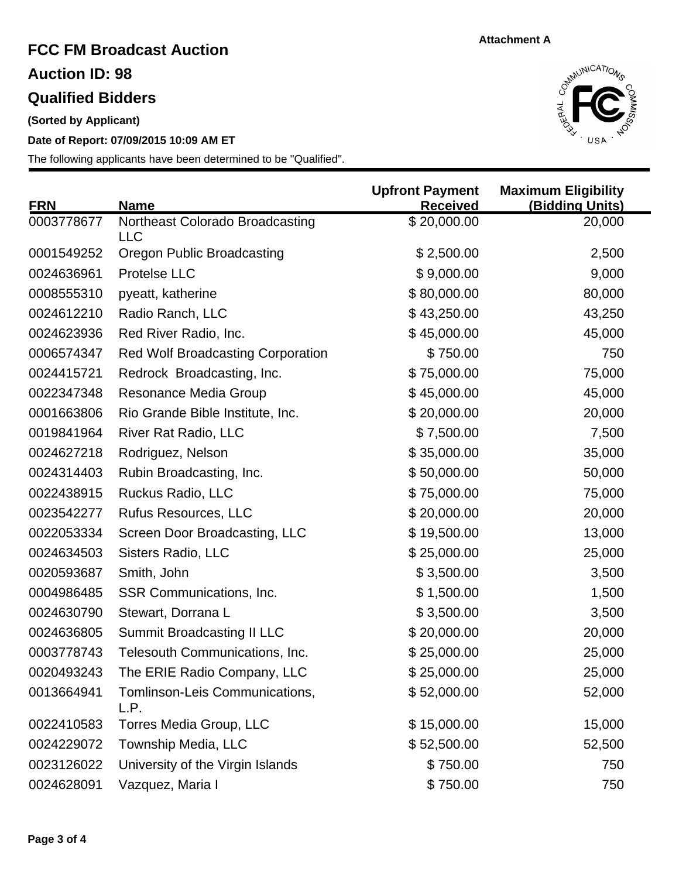# **FCC FM Broadcast Auction Auction ID: 98**

### **Qualified Bidders**

**(Sorted by Applicant)**

### **Date of Report: 07/09/2015 10:09 AM ET**



| <b>FRN</b> | <b>Name</b>                                   | <b>Upfront Payment</b><br><b>Received</b> | <b>Maximum Eligibility</b><br>(Bidding Units) |
|------------|-----------------------------------------------|-------------------------------------------|-----------------------------------------------|
| 0003778677 | Northeast Colorado Broadcasting<br><b>LLC</b> | \$20,000.00                               | 20,000                                        |
| 0001549252 | <b>Oregon Public Broadcasting</b>             | \$2,500.00                                | 2,500                                         |
| 0024636961 | Protelse LLC                                  | \$9,000.00                                | 9,000                                         |
| 0008555310 | pyeatt, katherine                             | \$80,000.00                               | 80,000                                        |
| 0024612210 | Radio Ranch, LLC                              | \$43,250.00                               | 43,250                                        |
| 0024623936 | Red River Radio, Inc.                         | \$45,000.00                               | 45,000                                        |
| 0006574347 | <b>Red Wolf Broadcasting Corporation</b>      | \$750.00                                  | 750                                           |
| 0024415721 | Redrock Broadcasting, Inc.                    | \$75,000.00                               | 75,000                                        |
| 0022347348 | Resonance Media Group                         | \$45,000.00                               | 45,000                                        |
| 0001663806 | Rio Grande Bible Institute, Inc.              | \$20,000.00                               | 20,000                                        |
| 0019841964 | <b>River Rat Radio, LLC</b>                   | \$7,500.00                                | 7,500                                         |
| 0024627218 | Rodriguez, Nelson                             | \$35,000.00                               | 35,000                                        |
| 0024314403 | Rubin Broadcasting, Inc.                      | \$50,000.00                               | 50,000                                        |
| 0022438915 | Ruckus Radio, LLC                             | \$75,000.00                               | 75,000                                        |
| 0023542277 | <b>Rufus Resources, LLC</b>                   | \$20,000.00                               | 20,000                                        |
| 0022053334 | Screen Door Broadcasting, LLC                 | \$19,500.00                               | 13,000                                        |
| 0024634503 | <b>Sisters Radio, LLC</b>                     | \$25,000.00                               | 25,000                                        |
| 0020593687 | Smith, John                                   | \$3,500.00                                | 3,500                                         |
| 0004986485 | SSR Communications, Inc.                      | \$1,500.00                                | 1,500                                         |
| 0024630790 | Stewart, Dorrana L                            | \$3,500.00                                | 3,500                                         |
| 0024636805 | <b>Summit Broadcasting II LLC</b>             | \$20,000.00                               | 20,000                                        |
| 0003778743 | Telesouth Communications, Inc.                | \$25,000.00                               | 25,000                                        |
| 0020493243 | The ERIE Radio Company, LLC                   | \$25,000.00                               | 25,000                                        |
| 0013664941 | Tomlinson-Leis Communications,<br>L.P.        | \$52,000.00                               | 52,000                                        |
| 0022410583 | Torres Media Group, LLC                       | \$15,000.00                               | 15,000                                        |
| 0024229072 | Township Media, LLC                           | \$52,500.00                               | 52,500                                        |
| 0023126022 | University of the Virgin Islands              | \$750.00                                  | 750                                           |
| 0024628091 | Vazquez, Maria I                              | \$750.00                                  | 750                                           |